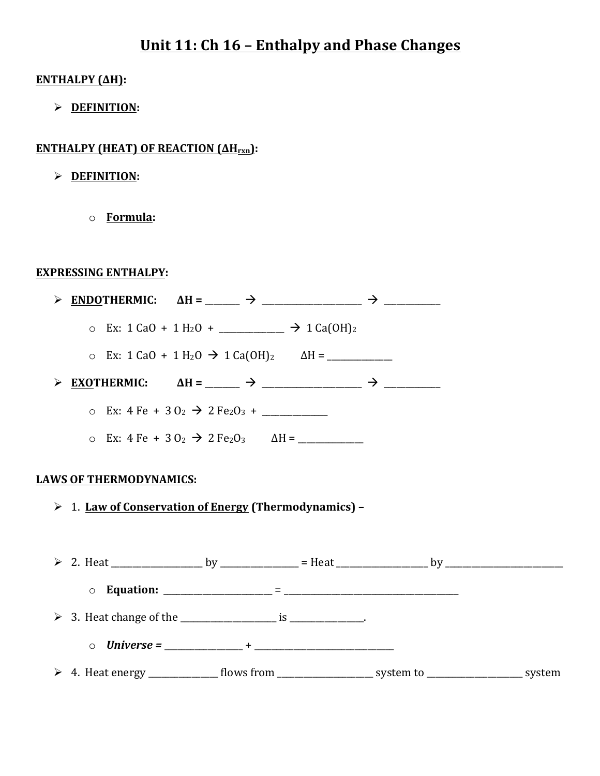# **Unit 11: Ch 16 - Enthalpy and Phase Changes**

## **ENTHALPY** (ΔH):

Ø **DEFINITION:**

# **ENTHALPY (HEAT) OF REACTION (ΔH<sub>rxn</sub>):**

- Ø **DEFINITION:**
	- o **Formula:**

### **EXPRESSING ENTHALPY:**

|                       | ENDOTHERMIC: $\Delta H =$ ______ $\rightarrow$ _______________ $\rightarrow$ ________                  |  |  |
|-----------------------|--------------------------------------------------------------------------------------------------------|--|--|
|                       |                                                                                                        |  |  |
|                       | o Ex: 1 CaO + 1 H <sub>2</sub> O → 1 Ca(OH) <sub>2</sub> $\Delta H =$ __________                       |  |  |
| $\blacktriangleright$ | EXOTHERMIC: $\Delta H =$ ______ > ______________ > _________                                           |  |  |
|                       | o Ex: $4 \text{ Fe} + 30_2 \rightarrow 2 \text{ Fe}_2\text{O}_3 + \_$                                  |  |  |
|                       | ο Ex: 4 Fe + 3 O <sub>2</sub> → 2 Fe <sub>2</sub> O <sub>3</sub> ΔH = ___________                      |  |  |
|                       | <b>LAWS OF THERMODYNAMICS:</b>                                                                         |  |  |
|                       | > 1. Law of Conservation of Energy (Thermodynamics) -                                                  |  |  |
|                       |                                                                                                        |  |  |
|                       |                                                                                                        |  |  |
|                       |                                                                                                        |  |  |
|                       |                                                                                                        |  |  |
|                       | > 4. Heat energy _______________ flows from _____________________ system to ___________________ system |  |  |